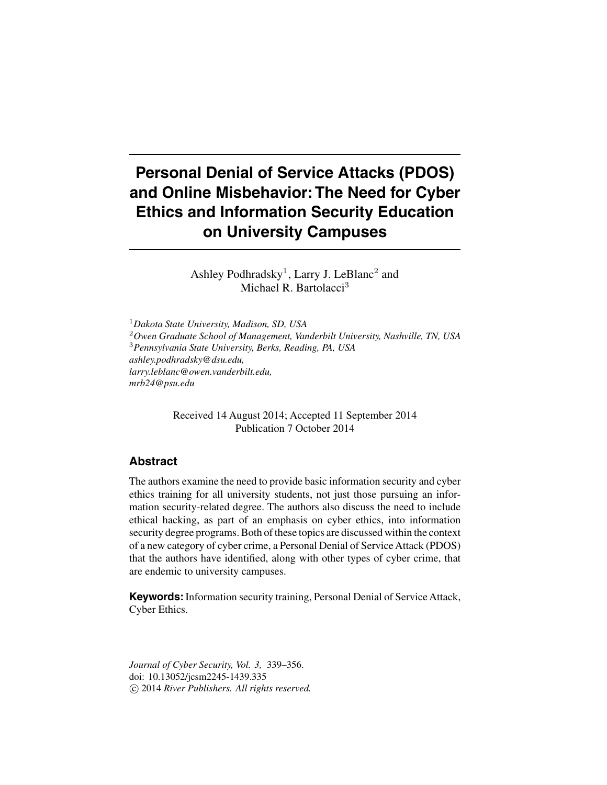# **Personal Denial of Service Attacks (PDOS) and Online Misbehavior: The Need for Cyber Ethics and Information Security Education on University Campuses**

Ashley Podhradsky<sup>1</sup>, Larry J. LeBlanc<sup>2</sup> and Michael R. Bartolacci<sup>3</sup>

<sup>1</sup>*Dakota State University, Madison, SD, USA* <sup>2</sup>*Owen Graduate School of Management, Vanderbilt University, Nashville, TN, USA* <sup>3</sup>*Pennsylvania State University, Berks, Reading, PA, USA ashley.podhradsky@dsu.edu, larry.leblanc@owen.vanderbilt.edu, mrb24@psu.edu*

> Received 14 August 2014; Accepted 11 September 2014 Publication 7 October 2014

# **Abstract**

The authors examine the need to provide basic information security and cyber ethics training for all university students, not just those pursuing an information security-related degree. The authors also discuss the need to include ethical hacking, as part of an emphasis on cyber ethics, into information security degree programs. Both of these topics are discussed within the context of a new category of cyber crime, a Personal Denial of Service Attack (PDOS) that the authors have identified, along with other types of cyber crime, that are endemic to university campuses.

**Keywords:**Information security training, Personal Denial of Service Attack, Cyber Ethics.

*Journal of Cyber Security, Vol. 3,* 339–356. doi: 10.13052/jcsm2245-1439.335 -c 2014 *River Publishers. All rights reserved.*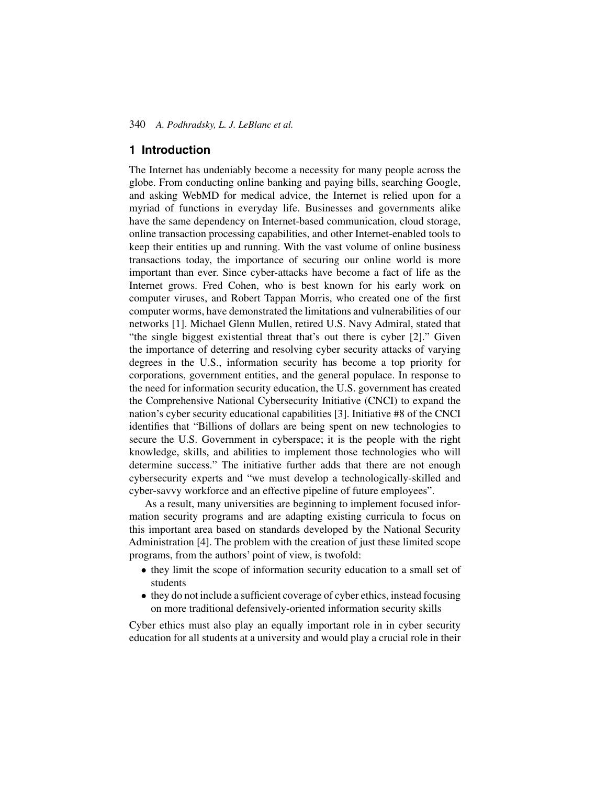# **1 Introduction**

The Internet has undeniably become a necessity for many people across the globe. From conducting online banking and paying bills, searching Google, and asking WebMD for medical advice, the Internet is relied upon for a myriad of functions in everyday life. Businesses and governments alike have the same dependency on Internet-based communication, cloud storage, online transaction processing capabilities, and other Internet-enabled tools to keep their entities up and running. With the vast volume of online business transactions today, the importance of securing our online world is more important than ever. Since cyber-attacks have become a fact of life as the Internet grows. Fred Cohen, who is best known for his early work on computer viruses, and Robert Tappan Morris, who created one of the first computer worms, have demonstrated the limitations and vulnerabilities of our networks [1]. Michael Glenn Mullen, retired U.S. Navy Admiral, stated that "the single biggest existential threat that's out there is cyber [2]." Given the importance of deterring and resolving cyber security attacks of varying degrees in the U.S., information security has become a top priority for corporations, government entities, and the general populace. In response to the need for information security education, the U.S. government has created the Comprehensive National Cybersecurity Initiative (CNCI) to expand the nation's cyber security educational capabilities [3]. Initiative #8 of the CNCI identifies that "Billions of dollars are being spent on new technologies to secure the U.S. Government in cyberspace; it is the people with the right knowledge, skills, and abilities to implement those technologies who will determine success." The initiative further adds that there are not enough cybersecurity experts and "we must develop a technologically-skilled and cyber-savvy workforce and an effective pipeline of future employees".

As a result, many universities are beginning to implement focused information security programs and are adapting existing curricula to focus on this important area based on standards developed by the National Security Administration [4]. The problem with the creation of just these limited scope programs, from the authors' point of view, is twofold:

- they limit the scope of information security education to a small set of students
- they do not include a sufficient coverage of cyber ethics, instead focusing on more traditional defensively-oriented information security skills

Cyber ethics must also play an equally important role in in cyber security education for all students at a university and would play a crucial role in their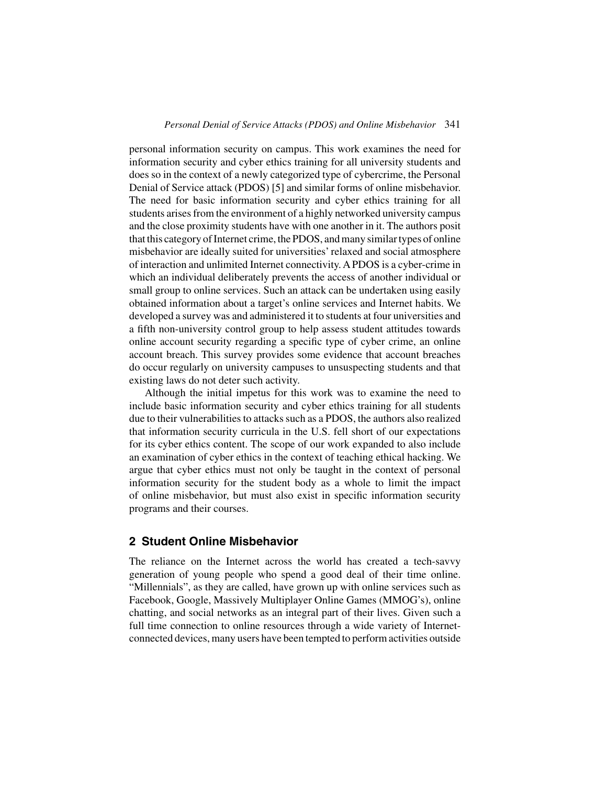personal information security on campus. This work examines the need for information security and cyber ethics training for all university students and does so in the context of a newly categorized type of cybercrime, the Personal Denial of Service attack (PDOS) [5] and similar forms of online misbehavior. The need for basic information security and cyber ethics training for all students arises from the environment of a highly networked university campus and the close proximity students have with one another in it. The authors posit that this category of Internet crime, the PDOS, and many similar types of online misbehavior are ideally suited for universities' relaxed and social atmosphere of interaction and unlimited Internet connectivity. A PDOS is a cyber-crime in which an individual deliberately prevents the access of another individual or small group to online services. Such an attack can be undertaken using easily obtained information about a target's online services and Internet habits. We developed a survey was and administered it to students at four universities and a fifth non-university control group to help assess student attitudes towards online account security regarding a specific type of cyber crime, an online account breach. This survey provides some evidence that account breaches do occur regularly on university campuses to unsuspecting students and that existing laws do not deter such activity.

Although the initial impetus for this work was to examine the need to include basic information security and cyber ethics training for all students due to their vulnerabilities to attacks such as a PDOS, the authors also realized that information security curricula in the U.S. fell short of our expectations for its cyber ethics content. The scope of our work expanded to also include an examination of cyber ethics in the context of teaching ethical hacking. We argue that cyber ethics must not only be taught in the context of personal information security for the student body as a whole to limit the impact of online misbehavior, but must also exist in specific information security programs and their courses.

# **2 Student Online Misbehavior**

The reliance on the Internet across the world has created a tech-savvy generation of young people who spend a good deal of their time online. "Millennials", as they are called, have grown up with online services such as Facebook, Google, Massively Multiplayer Online Games (MMOG's), online chatting, and social networks as an integral part of their lives. Given such a full time connection to online resources through a wide variety of Internetconnected devices, many users have been tempted to perform activities outside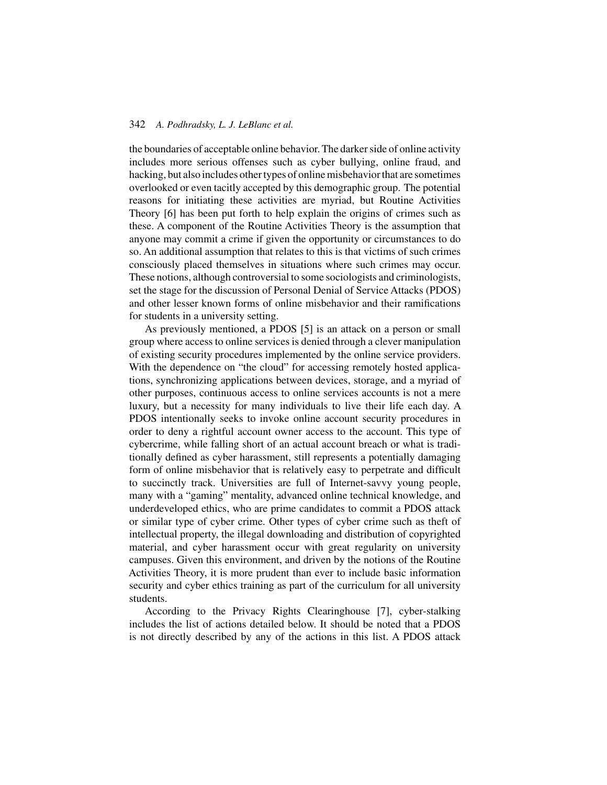the boundaries of acceptable online behavior. The darker side of online activity includes more serious offenses such as cyber bullying, online fraud, and hacking, but also includes other types of online misbehavior that are sometimes overlooked or even tacitly accepted by this demographic group. The potential reasons for initiating these activities are myriad, but Routine Activities Theory [6] has been put forth to help explain the origins of crimes such as these. A component of the Routine Activities Theory is the assumption that anyone may commit a crime if given the opportunity or circumstances to do so. An additional assumption that relates to this is that victims of such crimes consciously placed themselves in situations where such crimes may occur. These notions, although controversial to some sociologists and criminologists, set the stage for the discussion of Personal Denial of Service Attacks (PDOS) and other lesser known forms of online misbehavior and their ramifications for students in a university setting.

As previously mentioned, a PDOS [5] is an attack on a person or small group where access to online services is denied through a clever manipulation of existing security procedures implemented by the online service providers. With the dependence on "the cloud" for accessing remotely hosted applications, synchronizing applications between devices, storage, and a myriad of other purposes, continuous access to online services accounts is not a mere luxury, but a necessity for many individuals to live their life each day. A PDOS intentionally seeks to invoke online account security procedures in order to deny a rightful account owner access to the account. This type of cybercrime, while falling short of an actual account breach or what is traditionally defined as cyber harassment, still represents a potentially damaging form of online misbehavior that is relatively easy to perpetrate and difficult to succinctly track. Universities are full of Internet-savvy young people, many with a "gaming" mentality, advanced online technical knowledge, and underdeveloped ethics, who are prime candidates to commit a PDOS attack or similar type of cyber crime. Other types of cyber crime such as theft of intellectual property, the illegal downloading and distribution of copyrighted material, and cyber harassment occur with great regularity on university campuses. Given this environment, and driven by the notions of the Routine Activities Theory, it is more prudent than ever to include basic information security and cyber ethics training as part of the curriculum for all university students.

According to the Privacy Rights Clearinghouse [7], cyber-stalking includes the list of actions detailed below. It should be noted that a PDOS is not directly described by any of the actions in this list. A PDOS attack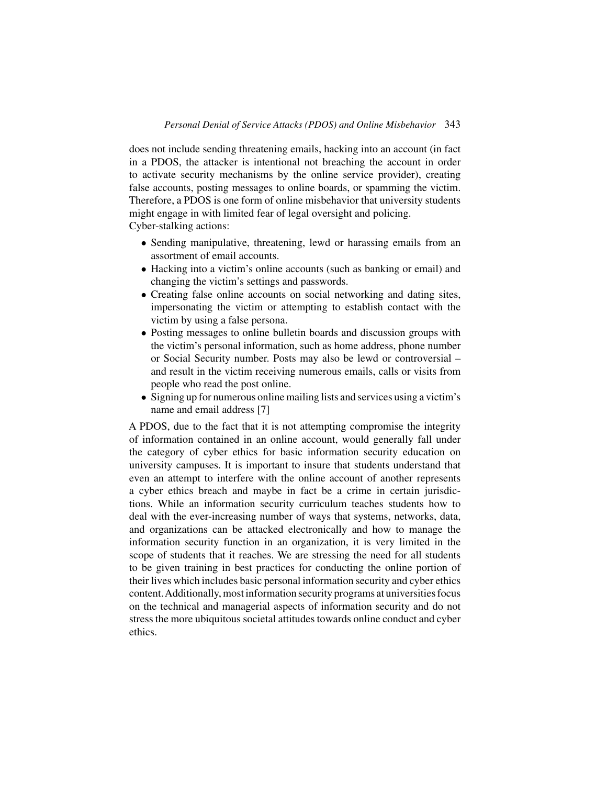does not include sending threatening emails, hacking into an account (in fact in a PDOS, the attacker is intentional not breaching the account in order to activate security mechanisms by the online service provider), creating false accounts, posting messages to online boards, or spamming the victim. Therefore, a PDOS is one form of online misbehavior that university students might engage in with limited fear of legal oversight and policing. Cyber-stalking actions:

- Sending manipulative, threatening, lewd or harassing emails from an assortment of email accounts.
- Hacking into a victim's online accounts (such as banking or email) and changing the victim's settings and passwords.
- Creating false online accounts on social networking and dating sites, impersonating the victim or attempting to establish contact with the victim by using a false persona.
- Posting messages to online bulletin boards and discussion groups with the victim's personal information, such as home address, phone number or Social Security number. Posts may also be lewd or controversial – and result in the victim receiving numerous emails, calls or visits from people who read the post online.
- Signing up for numerous online mailing lists and services using a victim's name and email address [7]

A PDOS, due to the fact that it is not attempting compromise the integrity of information contained in an online account, would generally fall under the category of cyber ethics for basic information security education on university campuses. It is important to insure that students understand that even an attempt to interfere with the online account of another represents a cyber ethics breach and maybe in fact be a crime in certain jurisdictions. While an information security curriculum teaches students how to deal with the ever-increasing number of ways that systems, networks, data, and organizations can be attacked electronically and how to manage the information security function in an organization, it is very limited in the scope of students that it reaches. We are stressing the need for all students to be given training in best practices for conducting the online portion of their lives which includes basic personal information security and cyber ethics content.Additionally, most information security programs at universities focus on the technical and managerial aspects of information security and do not stress the more ubiquitous societal attitudes towards online conduct and cyber ethics.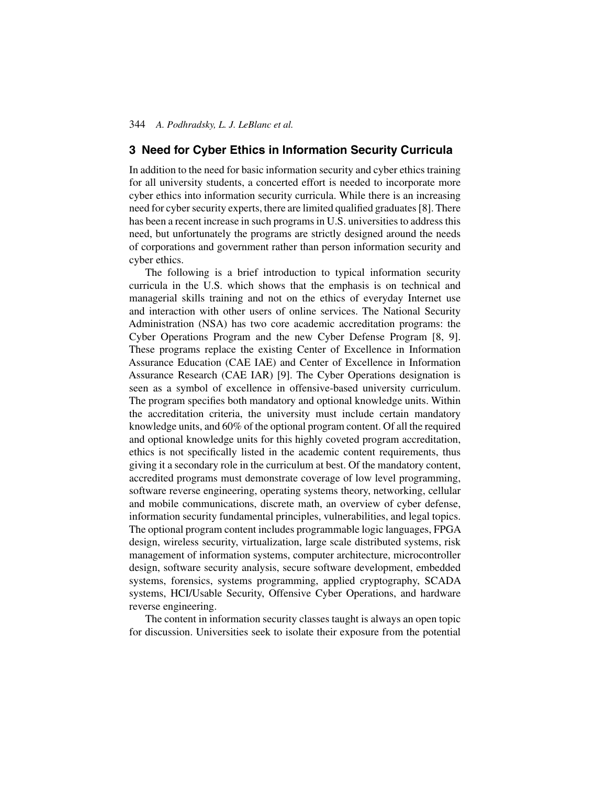# **3 Need for Cyber Ethics in Information Security Curricula**

In addition to the need for basic information security and cyber ethics training for all university students, a concerted effort is needed to incorporate more cyber ethics into information security curricula. While there is an increasing need for cyber security experts, there are limited qualified graduates [8]. There has been a recent increase in such programs in U.S. universities to address this need, but unfortunately the programs are strictly designed around the needs of corporations and government rather than person information security and cyber ethics.

The following is a brief introduction to typical information security curricula in the U.S. which shows that the emphasis is on technical and managerial skills training and not on the ethics of everyday Internet use and interaction with other users of online services. The National Security Administration (NSA) has two core academic accreditation programs: the Cyber Operations Program and the new Cyber Defense Program [8, 9]. These programs replace the existing Center of Excellence in Information Assurance Education (CAE IAE) and Center of Excellence in Information Assurance Research (CAE IAR) [9]. The Cyber Operations designation is seen as a symbol of excellence in offensive-based university curriculum. The program specifies both mandatory and optional knowledge units. Within the accreditation criteria, the university must include certain mandatory knowledge units, and 60% of the optional program content. Of all the required and optional knowledge units for this highly coveted program accreditation, ethics is not specifically listed in the academic content requirements, thus giving it a secondary role in the curriculum at best. Of the mandatory content, accredited programs must demonstrate coverage of low level programming, software reverse engineering, operating systems theory, networking, cellular and mobile communications, discrete math, an overview of cyber defense, information security fundamental principles, vulnerabilities, and legal topics. The optional program content includes programmable logic languages, FPGA design, wireless security, virtualization, large scale distributed systems, risk management of information systems, computer architecture, microcontroller design, software security analysis, secure software development, embedded systems, forensics, systems programming, applied cryptography, SCADA systems, HCI/Usable Security, Offensive Cyber Operations, and hardware reverse engineering.

The content in information security classes taught is always an open topic for discussion. Universities seek to isolate their exposure from the potential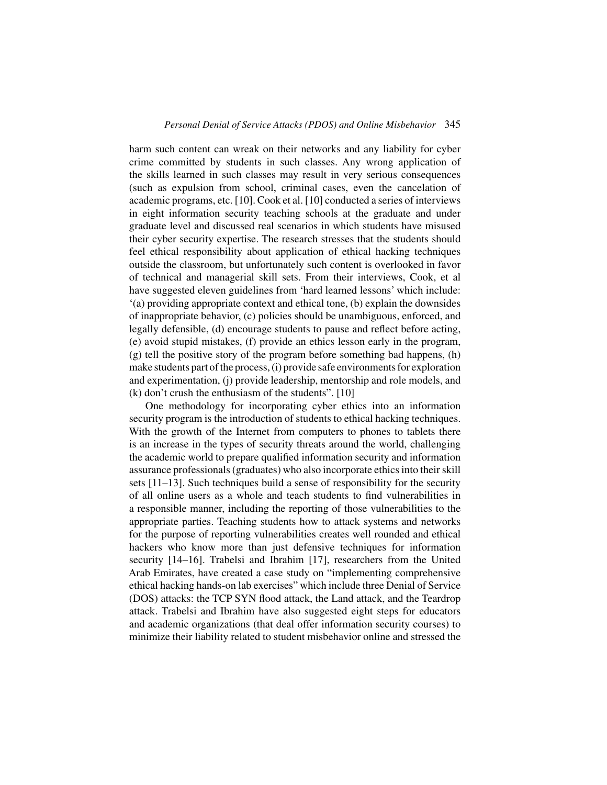harm such content can wreak on their networks and any liability for cyber crime committed by students in such classes. Any wrong application of the skills learned in such classes may result in very serious consequences (such as expulsion from school, criminal cases, even the cancelation of academic programs, etc. [10]. Cook et al. [10] conducted a series of interviews in eight information security teaching schools at the graduate and under graduate level and discussed real scenarios in which students have misused their cyber security expertise. The research stresses that the students should feel ethical responsibility about application of ethical hacking techniques outside the classroom, but unfortunately such content is overlooked in favor of technical and managerial skill sets. From their interviews, Cook, et al have suggested eleven guidelines from 'hard learned lessons' which include: '(a) providing appropriate context and ethical tone, (b) explain the downsides of inappropriate behavior, (c) policies should be unambiguous, enforced, and legally defensible, (d) encourage students to pause and reflect before acting, (e) avoid stupid mistakes, (f) provide an ethics lesson early in the program, (g) tell the positive story of the program before something bad happens, (h) make students part of the process, (i) provide safe environments for exploration and experimentation, (j) provide leadership, mentorship and role models, and (k) don't crush the enthusiasm of the students". [10]

One methodology for incorporating cyber ethics into an information security program is the introduction of students to ethical hacking techniques. With the growth of the Internet from computers to phones to tablets there is an increase in the types of security threats around the world, challenging the academic world to prepare qualified information security and information assurance professionals (graduates) who also incorporate ethics into their skill sets [11–13]. Such techniques build a sense of responsibility for the security of all online users as a whole and teach students to find vulnerabilities in a responsible manner, including the reporting of those vulnerabilities to the appropriate parties. Teaching students how to attack systems and networks for the purpose of reporting vulnerabilities creates well rounded and ethical hackers who know more than just defensive techniques for information security [14–16]. Trabelsi and Ibrahim [17], researchers from the United Arab Emirates, have created a case study on "implementing comprehensive ethical hacking hands-on lab exercises" which include three Denial of Service (DOS) attacks: the TCP SYN flood attack, the Land attack, and the Teardrop attack. Trabelsi and Ibrahim have also suggested eight steps for educators and academic organizations (that deal offer information security courses) to minimize their liability related to student misbehavior online and stressed the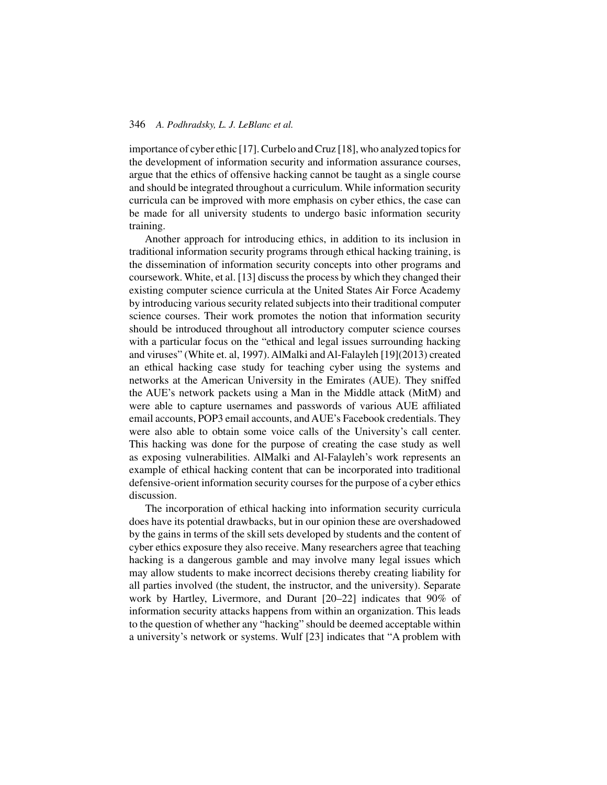importance of cyber ethic [17]. Curbelo and Cruz [18], who analyzed topics for the development of information security and information assurance courses, argue that the ethics of offensive hacking cannot be taught as a single course and should be integrated throughout a curriculum. While information security curricula can be improved with more emphasis on cyber ethics, the case can be made for all university students to undergo basic information security training.

Another approach for introducing ethics, in addition to its inclusion in traditional information security programs through ethical hacking training, is the dissemination of information security concepts into other programs and coursework. White, et al. [13] discuss the process by which they changed their existing computer science curricula at the United States Air Force Academy by introducing various security related subjects into their traditional computer science courses. Their work promotes the notion that information security should be introduced throughout all introductory computer science courses with a particular focus on the "ethical and legal issues surrounding hacking and viruses" (White et. al, 1997). AlMalki and Al-Falayleh [19](2013) created an ethical hacking case study for teaching cyber using the systems and networks at the American University in the Emirates (AUE). They sniffed the AUE's network packets using a Man in the Middle attack (MitM) and were able to capture usernames and passwords of various AUE affiliated email accounts, POP3 email accounts, and AUE's Facebook credentials. They were also able to obtain some voice calls of the University's call center. This hacking was done for the purpose of creating the case study as well as exposing vulnerabilities. AlMalki and Al-Falayleh's work represents an example of ethical hacking content that can be incorporated into traditional defensive-orient information security courses for the purpose of a cyber ethics discussion.

The incorporation of ethical hacking into information security curricula does have its potential drawbacks, but in our opinion these are overshadowed by the gains in terms of the skill sets developed by students and the content of cyber ethics exposure they also receive. Many researchers agree that teaching hacking is a dangerous gamble and may involve many legal issues which may allow students to make incorrect decisions thereby creating liability for all parties involved (the student, the instructor, and the university). Separate work by Hartley, Livermore, and Durant [20–22] indicates that 90% of information security attacks happens from within an organization. This leads to the question of whether any "hacking" should be deemed acceptable within a university's network or systems. Wulf [23] indicates that "A problem with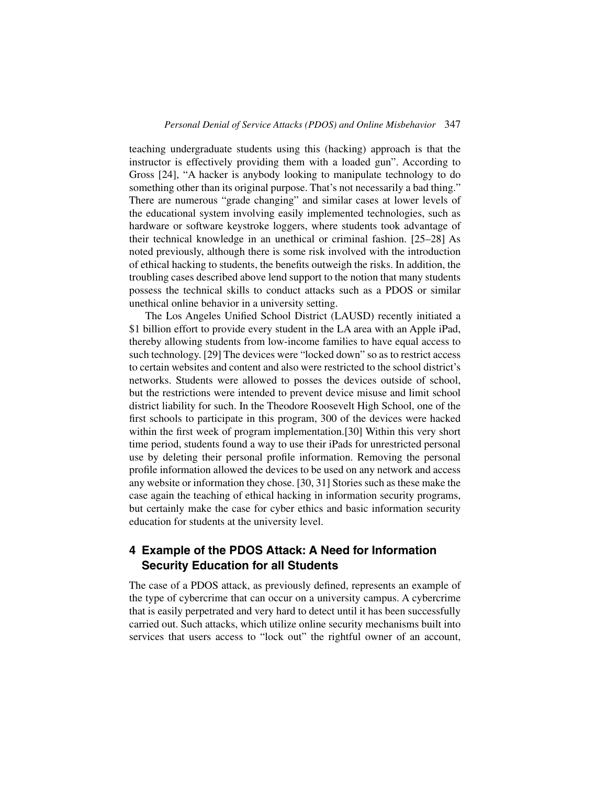teaching undergraduate students using this (hacking) approach is that the instructor is effectively providing them with a loaded gun". According to Gross [24], "A hacker is anybody looking to manipulate technology to do something other than its original purpose. That's not necessarily a bad thing." There are numerous "grade changing" and similar cases at lower levels of the educational system involving easily implemented technologies, such as hardware or software keystroke loggers, where students took advantage of their technical knowledge in an unethical or criminal fashion. [25–28] As noted previously, although there is some risk involved with the introduction of ethical hacking to students, the benefits outweigh the risks. In addition, the troubling cases described above lend support to the notion that many students possess the technical skills to conduct attacks such as a PDOS or similar unethical online behavior in a university setting.

The Los Angeles Unified School District (LAUSD) recently initiated a \$1 billion effort to provide every student in the LA area with an Apple iPad, thereby allowing students from low-income families to have equal access to such technology. [29] The devices were "locked down" so as to restrict access to certain websites and content and also were restricted to the school district's networks. Students were allowed to posses the devices outside of school, but the restrictions were intended to prevent device misuse and limit school district liability for such. In the Theodore Roosevelt High School, one of the first schools to participate in this program, 300 of the devices were hacked within the first week of program implementation.[30] Within this very short time period, students found a way to use their iPads for unrestricted personal use by deleting their personal profile information. Removing the personal profile information allowed the devices to be used on any network and access any website or information they chose. [30, 31] Stories such as these make the case again the teaching of ethical hacking in information security programs, but certainly make the case for cyber ethics and basic information security education for students at the university level.

# **4 Example of the PDOS Attack: A Need for Information Security Education for all Students**

The case of a PDOS attack, as previously defined, represents an example of the type of cybercrime that can occur on a university campus. A cybercrime that is easily perpetrated and very hard to detect until it has been successfully carried out. Such attacks, which utilize online security mechanisms built into services that users access to "lock out" the rightful owner of an account,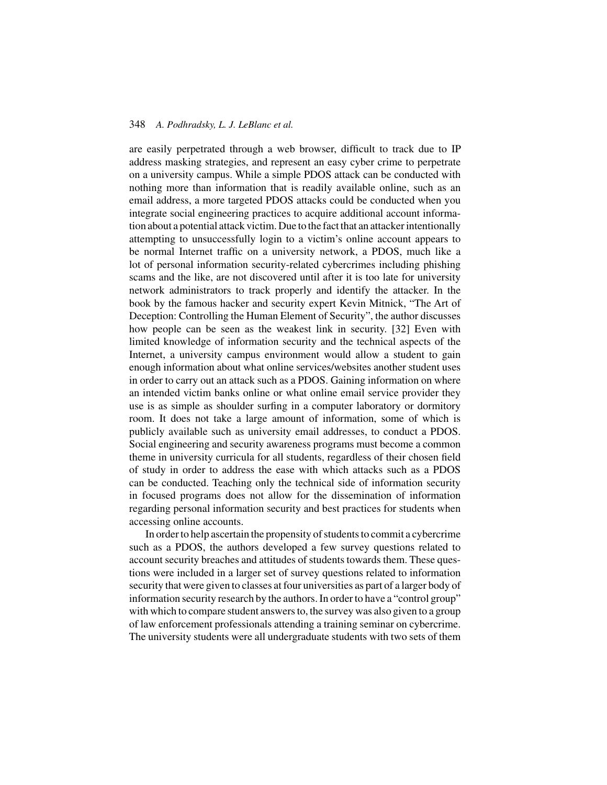are easily perpetrated through a web browser, difficult to track due to IP address masking strategies, and represent an easy cyber crime to perpetrate on a university campus. While a simple PDOS attack can be conducted with nothing more than information that is readily available online, such as an email address, a more targeted PDOS attacks could be conducted when you integrate social engineering practices to acquire additional account information about a potential attack victim. Due to the fact that an attacker intentionally attempting to unsuccessfully login to a victim's online account appears to be normal Internet traffic on a university network, a PDOS, much like a lot of personal information security-related cybercrimes including phishing scams and the like, are not discovered until after it is too late for university network administrators to track properly and identify the attacker. In the book by the famous hacker and security expert Kevin Mitnick, "The Art of Deception: Controlling the Human Element of Security", the author discusses how people can be seen as the weakest link in security. [32] Even with limited knowledge of information security and the technical aspects of the Internet, a university campus environment would allow a student to gain enough information about what online services/websites another student uses in order to carry out an attack such as a PDOS. Gaining information on where an intended victim banks online or what online email service provider they use is as simple as shoulder surfing in a computer laboratory or dormitory room. It does not take a large amount of information, some of which is publicly available such as university email addresses, to conduct a PDOS. Social engineering and security awareness programs must become a common theme in university curricula for all students, regardless of their chosen field of study in order to address the ease with which attacks such as a PDOS can be conducted. Teaching only the technical side of information security in focused programs does not allow for the dissemination of information regarding personal information security and best practices for students when accessing online accounts.

In order to help ascertain the propensity of students to commit a cybercrime such as a PDOS, the authors developed a few survey questions related to account security breaches and attitudes of students towards them. These questions were included in a larger set of survey questions related to information security that were given to classes at four universities as part of a larger body of information security research by the authors. In order to have a "control group" with which to compare student answers to, the survey was also given to a group of law enforcement professionals attending a training seminar on cybercrime. The university students were all undergraduate students with two sets of them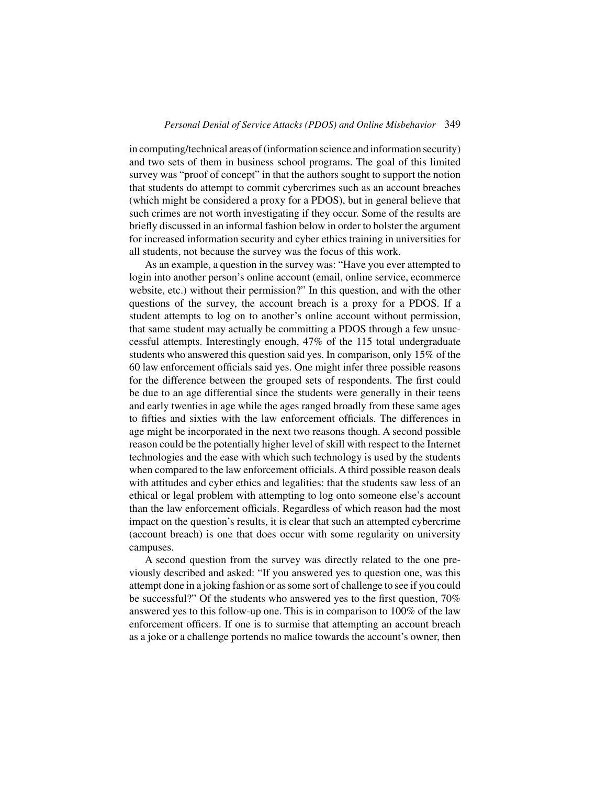in computing/technical areas of (information science and information security) and two sets of them in business school programs. The goal of this limited survey was "proof of concept" in that the authors sought to support the notion that students do attempt to commit cybercrimes such as an account breaches (which might be considered a proxy for a PDOS), but in general believe that such crimes are not worth investigating if they occur. Some of the results are briefly discussed in an informal fashion below in order to bolster the argument for increased information security and cyber ethics training in universities for all students, not because the survey was the focus of this work.

As an example, a question in the survey was: "Have you ever attempted to login into another person's online account (email, online service, ecommerce website, etc.) without their permission?" In this question, and with the other questions of the survey, the account breach is a proxy for a PDOS. If a student attempts to log on to another's online account without permission, that same student may actually be committing a PDOS through a few unsuccessful attempts. Interestingly enough, 47% of the 115 total undergraduate students who answered this question said yes. In comparison, only 15% of the 60 law enforcement officials said yes. One might infer three possible reasons for the difference between the grouped sets of respondents. The first could be due to an age differential since the students were generally in their teens and early twenties in age while the ages ranged broadly from these same ages to fifties and sixties with the law enforcement officials. The differences in age might be incorporated in the next two reasons though. A second possible reason could be the potentially higher level of skill with respect to the Internet technologies and the ease with which such technology is used by the students when compared to the law enforcement officials. A third possible reason deals with attitudes and cyber ethics and legalities: that the students saw less of an ethical or legal problem with attempting to log onto someone else's account than the law enforcement officials. Regardless of which reason had the most impact on the question's results, it is clear that such an attempted cybercrime (account breach) is one that does occur with some regularity on university campuses.

A second question from the survey was directly related to the one previously described and asked: "If you answered yes to question one, was this attempt done in a joking fashion or as some sort of challenge to see if you could be successful?" Of the students who answered yes to the first question, 70% answered yes to this follow-up one. This is in comparison to 100% of the law enforcement officers. If one is to surmise that attempting an account breach as a joke or a challenge portends no malice towards the account's owner, then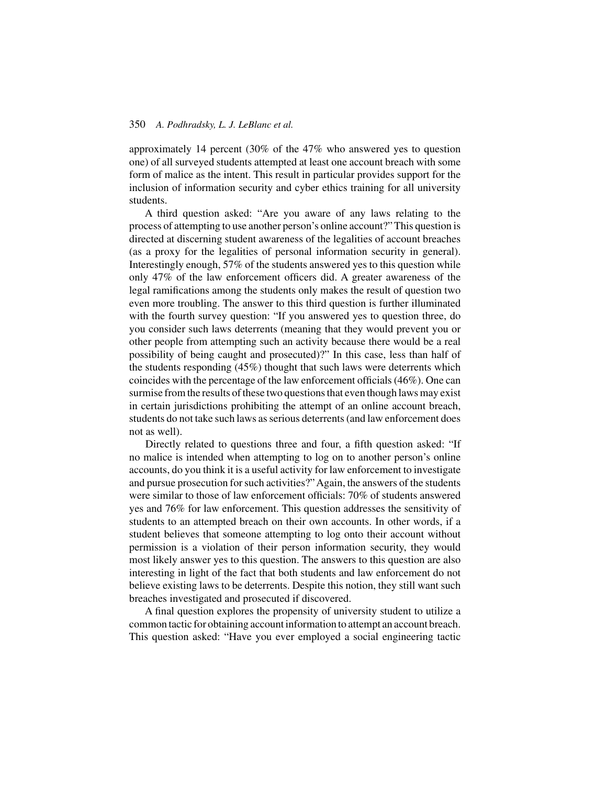approximately 14 percent (30% of the 47% who answered yes to question one) of all surveyed students attempted at least one account breach with some form of malice as the intent. This result in particular provides support for the inclusion of information security and cyber ethics training for all university students.

A third question asked: "Are you aware of any laws relating to the process of attempting to use another person's online account?" This question is directed at discerning student awareness of the legalities of account breaches (as a proxy for the legalities of personal information security in general). Interestingly enough, 57% of the students answered yes to this question while only 47% of the law enforcement officers did. A greater awareness of the legal ramifications among the students only makes the result of question two even more troubling. The answer to this third question is further illuminated with the fourth survey question: "If you answered yes to question three, do you consider such laws deterrents (meaning that they would prevent you or other people from attempting such an activity because there would be a real possibility of being caught and prosecuted)?" In this case, less than half of the students responding (45%) thought that such laws were deterrents which coincides with the percentage of the law enforcement officials (46%). One can surmise from the results of these two questions that even though laws may exist in certain jurisdictions prohibiting the attempt of an online account breach, students do not take such laws as serious deterrents (and law enforcement does not as well).

Directly related to questions three and four, a fifth question asked: "If no malice is intended when attempting to log on to another person's online accounts, do you think it is a useful activity for law enforcement to investigate and pursue prosecution for such activities?" Again, the answers of the students were similar to those of law enforcement officials: 70% of students answered yes and 76% for law enforcement. This question addresses the sensitivity of students to an attempted breach on their own accounts. In other words, if a student believes that someone attempting to log onto their account without permission is a violation of their person information security, they would most likely answer yes to this question. The answers to this question are also interesting in light of the fact that both students and law enforcement do not believe existing laws to be deterrents. Despite this notion, they still want such breaches investigated and prosecuted if discovered.

A final question explores the propensity of university student to utilize a common tactic for obtaining account information to attempt an account breach. This question asked: "Have you ever employed a social engineering tactic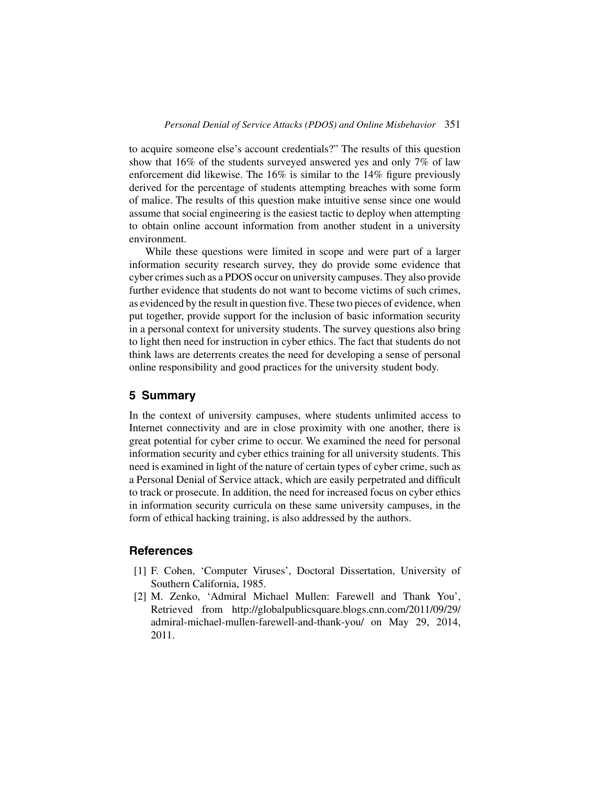to acquire someone else's account credentials?" The results of this question show that 16% of the students surveyed answered yes and only 7% of law enforcement did likewise. The 16% is similar to the 14% figure previously derived for the percentage of students attempting breaches with some form of malice. The results of this question make intuitive sense since one would assume that social engineering is the easiest tactic to deploy when attempting to obtain online account information from another student in a university environment.

While these questions were limited in scope and were part of a larger information security research survey, they do provide some evidence that cyber crimes such as a PDOS occur on university campuses. They also provide further evidence that students do not want to become victims of such crimes, as evidenced by the result in question five. These two pieces of evidence, when put together, provide support for the inclusion of basic information security in a personal context for university students. The survey questions also bring to light then need for instruction in cyber ethics. The fact that students do not think laws are deterrents creates the need for developing a sense of personal online responsibility and good practices for the university student body.

## **5 Summary**

In the context of university campuses, where students unlimited access to Internet connectivity and are in close proximity with one another, there is great potential for cyber crime to occur. We examined the need for personal information security and cyber ethics training for all university students. This need is examined in light of the nature of certain types of cyber crime, such as a Personal Denial of Service attack, which are easily perpetrated and difficult to track or prosecute. In addition, the need for increased focus on cyber ethics in information security curricula on these same university campuses, in the form of ethical hacking training, is also addressed by the authors.

# **References**

- [1] F. Cohen, 'Computer Viruses', Doctoral Dissertation, University of Southern California, 1985.
- [2] M. Zenko, 'Admiral Michael Mullen: Farewell and Thank You', Retrieved from http://globalpublicsquare.blogs.cnn.com/2011/09/29/ admiral-michael-mullen-farewell-and-thank-you/ on May 29, 2014, 2011.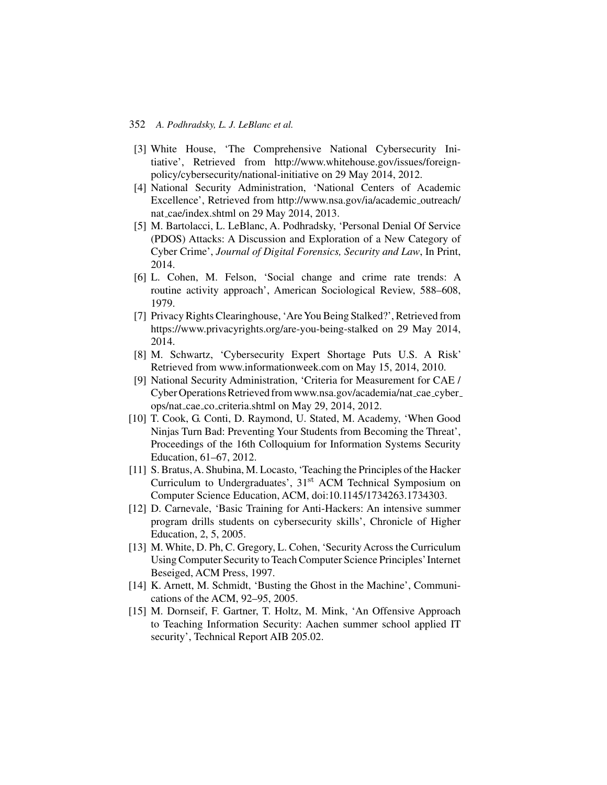- [3] White House, 'The Comprehensive National Cybersecurity Initiative', Retrieved from http://www.whitehouse.gov/issues/foreignpolicy/cybersecurity/national-initiative on 29 May 2014, 2012.
- [4] National Security Administration, 'National Centers of Academic Excellence', Retrieved from http://www.nsa.gov/ia/academic outreach/ nat cae/index.shtml on 29 May 2014, 2013.
- [5] M. Bartolacci, L. LeBlanc, A. Podhradsky, 'Personal Denial Of Service (PDOS) Attacks: A Discussion and Exploration of a New Category of Cyber Crime', *Journal of Digital Forensics, Security and Law*, In Print, 2014.
- [6] L. Cohen, M. Felson, 'Social change and crime rate trends: A routine activity approach', American Sociological Review, 588–608, 1979.
- [7] Privacy Rights Clearinghouse, 'Are You Being Stalked?', Retrieved from https://www.privacyrights.org/are-you-being-stalked on 29 May 2014, 2014.
- [8] M. Schwartz, 'Cybersecurity Expert Shortage Puts U.S. A Risk' Retrieved from www.informationweek.com on May 15, 2014, 2010.
- [9] National Security Administration, 'Criteria for Measurement for CAE / Cyber Operations Retrieved from www.nsa.gov/academia/nat cae cyber ops/nat cae co criteria.shtml on May 29, 2014, 2012.
- [10] T. Cook, G. Conti, D. Raymond, U. Stated, M. Academy, 'When Good Ninjas Turn Bad: Preventing Your Students from Becoming the Threat', Proceedings of the 16th Colloquium for Information Systems Security Education, 61–67, 2012.
- [11] S. Bratus, A. Shubina, M. Locasto, 'Teaching the Principles of the Hacker Curriculum to Undergraduates', 31<sup>st</sup> ACM Technical Symposium on Computer Science Education, ACM, doi:10.1145/1734263.1734303.
- [12] D. Carnevale, 'Basic Training for Anti-Hackers: An intensive summer program drills students on cybersecurity skills', Chronicle of Higher Education, 2, 5, 2005.
- [13] M. White, D. Ph, C. Gregory, L. Cohen, 'Security Across the Curriculum Using Computer Security to Teach Computer Science Principles' Internet Beseiged, ACM Press, 1997.
- [14] K. Arnett, M. Schmidt, 'Busting the Ghost in the Machine', Communications of the ACM, 92–95, 2005.
- [15] M. Dornseif, F. Gartner, T. Holtz, M. Mink, 'An Offensive Approach to Teaching Information Security: Aachen summer school applied IT security', Technical Report AIB 205.02.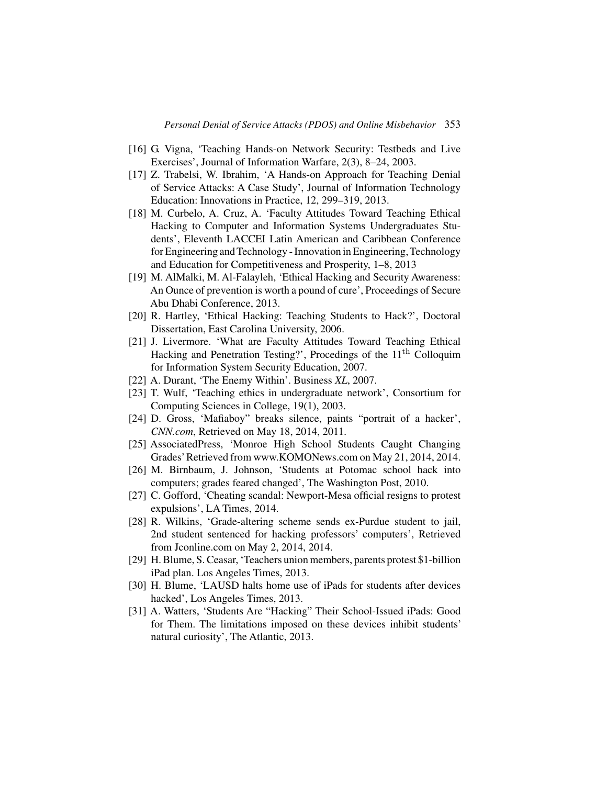- [16] G. Vigna, 'Teaching Hands-on Network Security: Testbeds and Live Exercises', Journal of Information Warfare, 2(3), 8–24, 2003.
- [17] Z. Trabelsi, W. Ibrahim, 'A Hands-on Approach for Teaching Denial of Service Attacks: A Case Study', Journal of Information Technology Education: Innovations in Practice, 12, 299–319, 2013.
- [18] M. Curbelo, A. Cruz, A. 'Faculty Attitudes Toward Teaching Ethical Hacking to Computer and Information Systems Undergraduates Students', Eleventh LACCEI Latin American and Caribbean Conference for Engineering and Technology - Innovation in Engineering, Technology and Education for Competitiveness and Prosperity, 1–8, 2013
- [19] M. AlMalki, M. Al-Falayleh, 'Ethical Hacking and Security Awareness: An Ounce of prevention is worth a pound of cure', Proceedings of Secure Abu Dhabi Conference, 2013.
- [20] R. Hartley, 'Ethical Hacking: Teaching Students to Hack?', Doctoral Dissertation, East Carolina University, 2006.
- [21] J. Livermore. 'What are Faculty Attitudes Toward Teaching Ethical Hacking and Penetration Testing?', Procedings of the 11<sup>th</sup> Colloquim for Information System Security Education, 2007.
- [22] A. Durant, 'The Enemy Within'. Business *XL*, 2007.
- [23] T. Wulf, 'Teaching ethics in undergraduate network', Consortium for Computing Sciences in College, 19(1), 2003.
- [24] D. Gross, 'Mafiaboy" breaks silence, paints "portrait of a hacker', *CNN.com*, Retrieved on May 18, 2014, 2011.
- [25] AssociatedPress, 'Monroe High School Students Caught Changing Grades'Retrieved from www.KOMONews.com on May 21, 2014, 2014.
- [26] M. Birnbaum, J. Johnson, 'Students at Potomac school hack into computers; grades feared changed', The Washington Post, 2010.
- [27] C. Gofford, 'Cheating scandal: Newport-Mesa official resigns to protest expulsions', LA Times, 2014.
- [28] R. Wilkins, 'Grade-altering scheme sends ex-Purdue student to jail, 2nd student sentenced for hacking professors' computers', Retrieved from Jconline.com on May 2, 2014, 2014.
- [29] H. Blume, S. Ceasar, 'Teachers union members, parents protest \$1-billion iPad plan. Los Angeles Times, 2013.
- [30] H. Blume, 'LAUSD halts home use of iPads for students after devices hacked', Los Angeles Times, 2013.
- [31] A. Watters, 'Students Are "Hacking" Their School-Issued iPads: Good for Them. The limitations imposed on these devices inhibit students' natural curiosity', The Atlantic, 2013.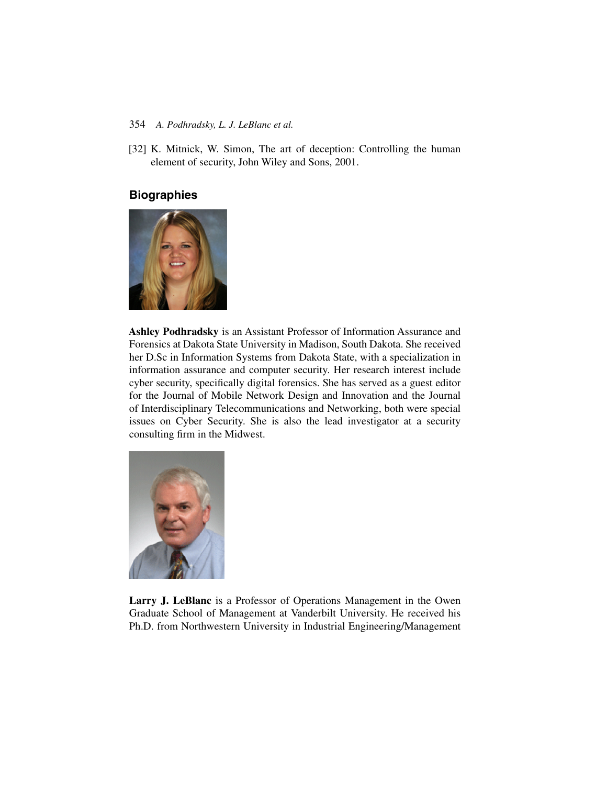[32] K. Mitnick, W. Simon, The art of deception: Controlling the human element of security, John Wiley and Sons, 2001.

# **Biographies**



**Ashley Podhradsky** is an Assistant Professor of Information Assurance and Forensics at Dakota State University in Madison, South Dakota. She received her D.Sc in Information Systems from Dakota State, with a specialization in information assurance and computer security. Her research interest include cyber security, specifically digital forensics. She has served as a guest editor for the Journal of Mobile Network Design and Innovation and the Journal of Interdisciplinary Telecommunications and Networking, both were special issues on Cyber Security. She is also the lead investigator at a security consulting firm in the Midwest.



**Larry J. LeBlanc** is a Professor of Operations Management in the Owen Graduate School of Management at Vanderbilt University. He received his Ph.D. from Northwestern University in Industrial Engineering/Management